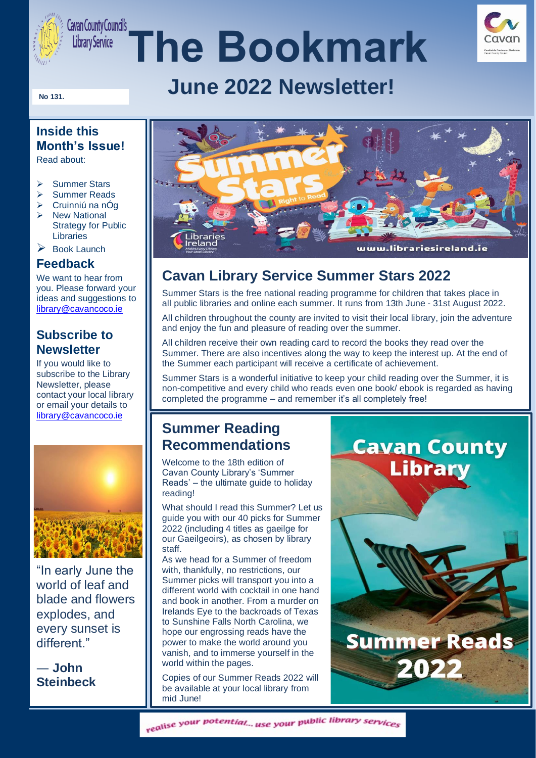

# *Gavan County Councils*<br> *Library Service* **The Bookmark**



## **June 2022 Newsletter!**

#### **No 131.**

### **Inside this Month's Issue!**

Read about:

- ➢ Summer Stars
- ➢ Summer Reads
- $\triangleright$  Cruinniú na nÓg
- ➢ New National Strategy for Public Libraries
- **Book Launch**

#### **Feedback**

We want to hear from you. Please forward your ideas and suggestions to [library@cavancoco.ie](mailto:library@cavancoco.ie)

#### **Subscribe to Newsletter**

If you would like to subscribe to the Library Newsletter, please contact your local library or email your details to [library@cavancoco.ie](mailto:library@cavancoco.ie)



"In early June the world of leaf and blade and flowers explodes, and every sunset is different."

― **John Steinbeck**



## **Cavan Library Service Summer Stars 2022**

Summer Stars is the free national reading programme for children that takes place in all public libraries and online each summer. It runs from 13th June - 31st August 2022.

All children throughout the county are invited to visit their local library, join the adventure and enjoy the fun and pleasure of reading over the summer.

All children receive their own reading card to record the books they read over the Summer. There are also incentives along the way to keep the interest up. At the end of the Summer each participant will receive a certificate of achievement.

Summer Stars is a wonderful initiative to keep your child reading over the Summer, it is non-competitive and every child who reads even one book/ ebook is regarded as having completed the programme – and remember it's all completely free!

### **Summer Reading Recommendations**

Welcome to the 18th edition of Cavan County Library's 'Summer Reads' – the ultimate guide to holiday reading!

What should I read this Summer? Let us guide you with our 40 picks for Summer 2022 (including 4 titles as gaeilge for our Gaeilgeoirs), as chosen by library staff.

As we head for a Summer of freedom with, thankfully, no restrictions, our Summer picks will transport you into a different world with cocktail in one hand and book in another. From a murder on Irelands Eye to the backroads of Texas to Sunshine Falls North Carolina, we hope our engrossing reads have the power to make the world around you vanish, and to immerse yourself in the world within the pages.

Copies of our Summer Reads 2022 will be available at your local library from mid June!

# **Cavan County Library**



realise your potential... use your public library services